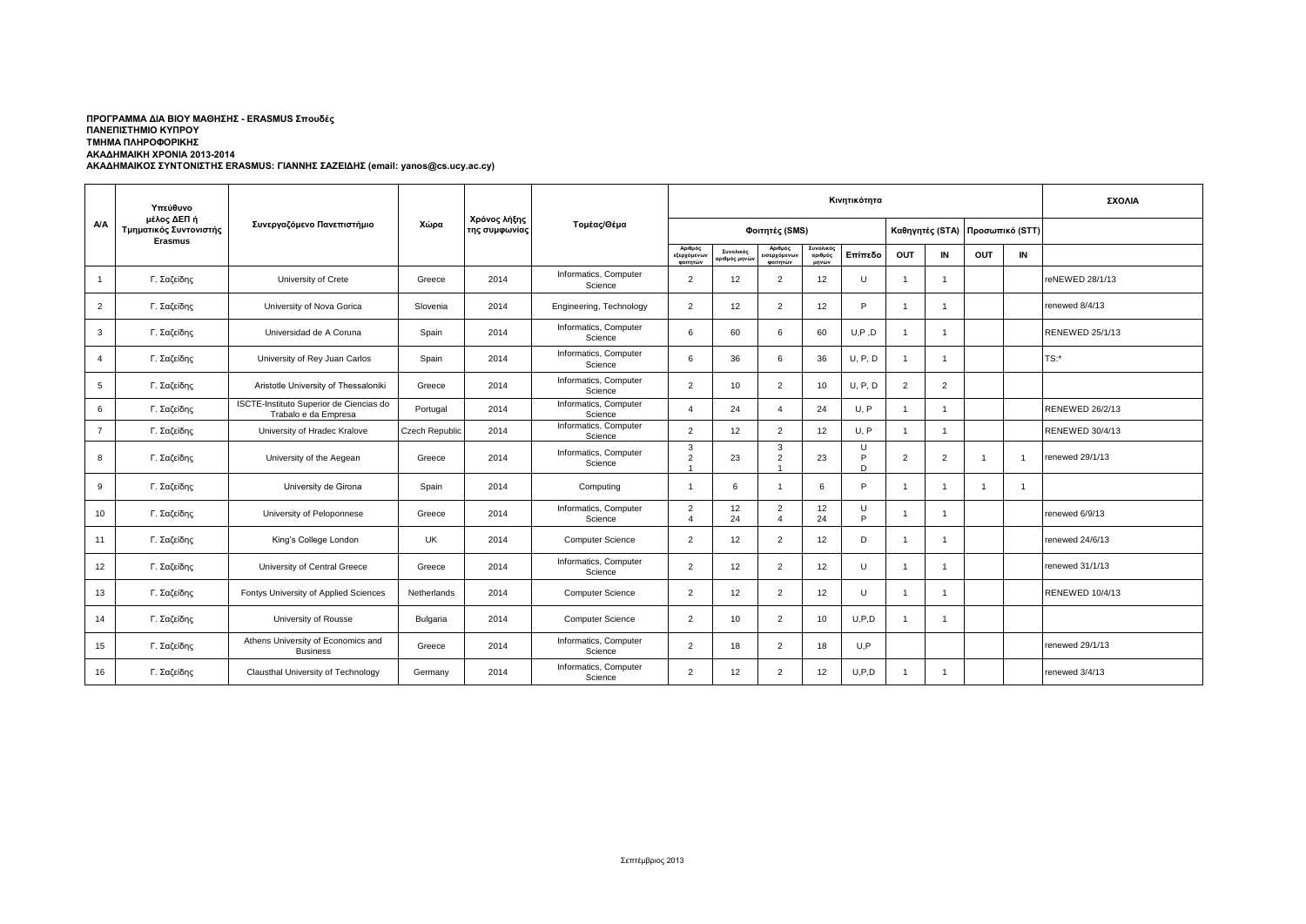## **ΑΚΑΔΗΜΑΙΚΟΣ ΣΥΝΤΟΝΙΣΤΗΣ ERASMUS: ΓΙΑΝΝΗΣ ΣΑΖΕΙΔΗΣ (email: yanos@cs.ucy.ac.cy) ΠΡΟΓΡΑΜΜΑ ΔΙΑ ΒΙΟΥ ΜΑΘΗΣΗΣ - ERASMUS Σπουδές ΠΑΝΕΠΙΣΤΗΜΙΟ ΚΥΠΡΟΥ ΤΜΗΜΑ ΠΛΗΡΟΦΟΡΙΚΗΣ ΑΚΑΔΗΜΑΙΚΗ ΧΡΟΝΙΑ 2013-2014**

|                | Υπεύθυνο<br>μέλος ΔΕΠ ή<br>Τμηματικός Συντονιστής<br><b>Erasmus</b> | Συνεργαζόμενο Πανεπιστήμιο                                      |                |                               | Τομέας/Θέμα                      | Κινητικότητα                       |                                         |                                          |                               |             |                |                 |                 |                | ΣΧΟΛΙΑ                 |
|----------------|---------------------------------------------------------------------|-----------------------------------------------------------------|----------------|-------------------------------|----------------------------------|------------------------------------|-----------------------------------------|------------------------------------------|-------------------------------|-------------|----------------|-----------------|-----------------|----------------|------------------------|
| A/A            |                                                                     |                                                                 | Χώρα           | Χρόνος λήξης<br>της συμφωνίας |                                  | Φοιτητές (SMS)                     |                                         |                                          |                               |             |                | Καθηγητές (STA) | Προσωπικό (STT) |                |                        |
|                |                                                                     |                                                                 |                |                               |                                  | Αριθμός<br>εξερχόμενων<br>φοιτητών | Συνολικός<br>αριθμός μην <mark>ώ</mark> | Αριθμός<br>ισερχόμενων<br>φοιτητών       | Συνολικός<br>αριθμός<br>μηνών | Επίπεδο     | OUT            | IN              | <b>OUT</b>      | IN             |                        |
| $\mathbf{1}$   | Γ. Σαζείδης                                                         | University of Crete                                             | Greece         | 2014                          | Informatics, Computer<br>Science | $\overline{2}$                     | 12                                      | 2                                        | 12                            | U           | $\mathbf{1}$   | $\overline{1}$  |                 |                | reNEWED 28/1/13        |
| $\overline{2}$ | Γ. Σαζείδης                                                         | University of Nova Gorica                                       | Slovenia       | 2014                          | Engineering, Technology          | $\overline{2}$                     | 12                                      | 2                                        | 12                            | P           | -1             | $\overline{1}$  |                 |                | renewed 8/4/13         |
| 3              | Γ. Σαζείδης                                                         | Universidad de A Coruna                                         | Spain          | 2014                          | Informatics, Computer<br>Science | 6                                  | 60                                      | 6                                        | 60                            | U, P, D     | $\overline{1}$ | $\mathbf{1}$    |                 |                | <b>RENEWED 25/1/13</b> |
| $\overline{a}$ | Γ. Σαζείδης                                                         | University of Rey Juan Carlos                                   | Spain          | 2014                          | Informatics, Computer<br>Science | 6                                  | 36                                      | 6                                        | 36                            | U, P, D     | $\overline{1}$ | $\overline{1}$  |                 |                | $TS:$ *                |
| 5              | Γ. Σαζείδης                                                         | Aristotle University of Thessaloniki                            | Greece         | 2014                          | Informatics, Computer<br>Science | $\overline{2}$                     | 10                                      | 2                                        | 10                            | U, P, D     | $\overline{2}$ | 2               |                 |                |                        |
| 6              | Γ. Σαζείδης                                                         | ISCTE-Instituto Superior de Ciencias do<br>Trabalo e da Empresa | Portugal       | 2014                          | Informatics, Computer<br>Science | $\overline{A}$                     | 24                                      | $\boldsymbol{\Lambda}$                   | 24                            | U, P        | $\overline{1}$ |                 |                 |                | <b>RENEWED 26/2/13</b> |
| $\overline{7}$ | Γ. Σαζείδης                                                         | University of Hradec Kralove                                    | Czech Republic | 2014                          | Informatics, Computer<br>Science | $\overline{2}$                     | 12                                      | 2                                        | 12                            | U, P        | -1             | $\mathbf{1}$    |                 |                | RENEWED 30/4/13        |
| 8              | Γ. Σαζείδης                                                         | University of the Aegean                                        | Greece         | 2014                          | Informatics, Computer<br>Science | 3<br>$\overline{2}$                | 23                                      | $\mathbf{3}$<br>$\overline{2}$           | 23                            | U<br>P<br>D | $\overline{2}$ | $\overline{2}$  |                 |                | renewed 29/1/13        |
| 9              | Γ. Σαζείδης                                                         | University de Girona                                            | Spain          | 2014                          | Computing                        | $\overline{1}$                     | 6                                       | $\overline{1}$                           | 6                             | P           | $\overline{1}$ | $\overline{1}$  | $\overline{1}$  | $\overline{1}$ |                        |
| 10             | Γ. Σαζείδης                                                         | University of Peloponnese                                       | Greece         | 2014                          | Informatics, Computer<br>Science | $\overline{2}$<br>$\Delta$         | 12<br>24                                | $\overline{2}$<br>$\boldsymbol{\Lambda}$ | 12<br>24                      | U<br>P      |                |                 |                 |                | renewed 6/9/13         |
| 11             | Γ. Σαζείδης                                                         | King's College London                                           | <b>UK</b>      | 2014                          | <b>Computer Science</b>          | $\overline{2}$                     | 12                                      | $\overline{2}$                           | 12                            | D           | $\overline{1}$ | $\overline{1}$  |                 |                | renewed 24/6/13        |
| 12             | Γ. Σαζείδης                                                         | University of Central Greece                                    | Greece         | 2014                          | Informatics, Computer<br>Science | $\overline{2}$                     | 12                                      | $\overline{2}$                           | 12                            | U           | $\overline{1}$ | $\overline{1}$  |                 |                | renewed 31/1/13        |
| 13             | Γ. Σαζείδης                                                         | Fontys University of Applied Sciences                           | Netherlands    | 2014                          | <b>Computer Science</b>          | $\overline{2}$                     | 12                                      | $\overline{2}$                           | 12                            | U           | $\overline{1}$ | $\overline{1}$  |                 |                | <b>RENEWED 10/4/13</b> |
| 14             | Γ. Σαζείδης                                                         | University of Rousse                                            | Bulgaria       | 2014                          | <b>Computer Science</b>          | $\overline{2}$                     | 10                                      | 2                                        | 10                            | U, P, D     | $\mathbf{1}$   | $\mathbf{1}$    |                 |                |                        |
| 15             | Γ. Σαζείδης                                                         | Athens University of Economics and<br><b>Business</b>           | Greece         | 2014                          | Informatics, Computer<br>Science | $\overline{2}$                     | 18                                      | 2                                        | 18                            | U, P        |                |                 |                 |                | renewed 29/1/13        |
| 16             | Γ. Σαζείδης                                                         | Clausthal University of Technology                              | Germany        | 2014                          | Informatics, Computer<br>Science | $\overline{2}$                     | 12                                      | 2                                        | 12                            | U, P, D     | $\mathbf{1}$   | $\mathbf{1}$    |                 |                | renewed 3/4/13         |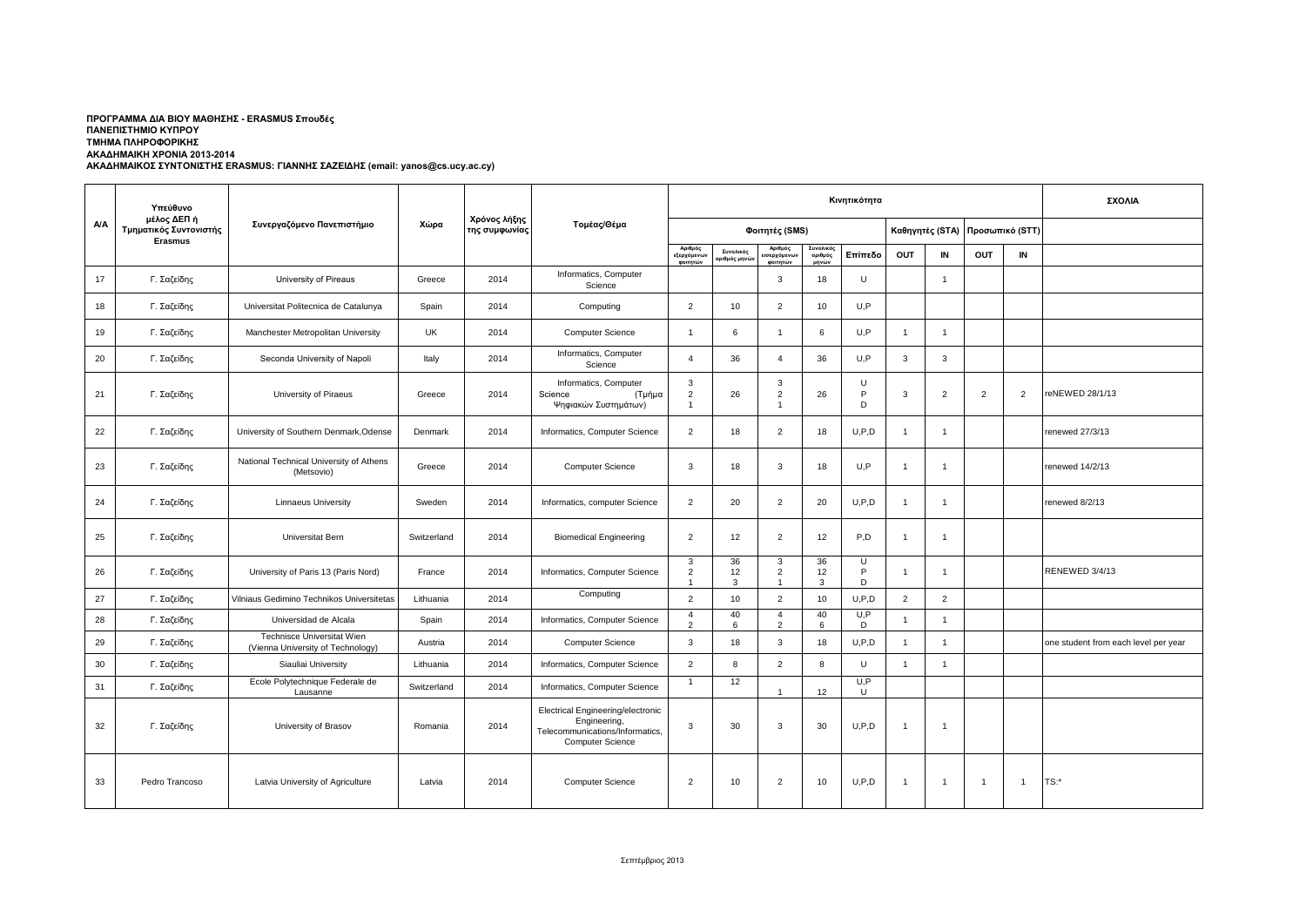## ΑΚΑΔΗΜΑΙΚΗ ΧΡΟΝΙΑ 2013-2014<br>ΑΚΑΔΗΜΑΙΚΟΣ ΣΥΝΤΟΝΙΣΤΗΣ ERASMUS: ΓΙΑΝΝΗΣ ΣΑΖΕΙΔΗΣ (email: yanos@cs.ucy.ac.cy) **ΠΡΟΓΡΑΜΜΑ ΔΙΑ ΒΙΟΥ ΜΑΘΗΣΗΣ - ERASMUS Σπουδές ΠΑΝΕΠΙΣΤΗΜΙΟ ΚΥΠΡΟΥ ΤΜΗΜΑ ΠΛΗΡΟΦΟΡΙΚΗΣ**

|            | Υπεύθυνο                              |                                                                 |             |                               |                                                                                                                 | Κινητικότητα                          |                          |                                                          |                               |             |                 |                |                 |                | ΣΧΟΛΙΑ                               |
|------------|---------------------------------------|-----------------------------------------------------------------|-------------|-------------------------------|-----------------------------------------------------------------------------------------------------------------|---------------------------------------|--------------------------|----------------------------------------------------------|-------------------------------|-------------|-----------------|----------------|-----------------|----------------|--------------------------------------|
| <b>A/A</b> | μέλος ΔΕΠ ή<br>Τμηματικός Συντονιστής | Συνεργαζόμενο Πανεπιστήμιο                                      | Χώρα        | Χρόνος λήξης<br>της συμφωνίας | Τομέας/Θέμα                                                                                                     | Φοιτητές (SMS)                        |                          |                                                          |                               |             | Καθηγητές (STA) |                | Προσωπικό (STT) |                |                                      |
|            | <b>Erasmus</b>                        |                                                                 |             |                               |                                                                                                                 | Αριθμός<br>εξερχόμενων<br>ΦΟΙΤΠΤών    | Συνολικός<br>ριθμός μηνι | Αριθμός<br>ισερχόμενω <mark>ι</mark><br><b>MOITATION</b> | Συνολικός<br>αριθμός<br>unvúw | Επίπεδο     | OUT             | IN             | <b>OUT</b>      | IN             |                                      |
| 17         | Γ. Σαζείδης                           | University of Pireaus                                           | Greece      | 2014                          | Informatics, Computer<br>Science                                                                                |                                       |                          | $\mathbf{3}$                                             | 18                            | U           |                 | $\overline{1}$ |                 |                |                                      |
| 18         | Γ. Σαζείδης                           | Universitat Politecnica de Catalunya                            | Spain       | 2014                          | Computing                                                                                                       | $\overline{2}$                        | 10                       | $\overline{2}$                                           | 10                            | U,P         |                 |                |                 |                |                                      |
| 19         | Γ. Σαζείδης                           | Manchester Metropolitan University                              | <b>UK</b>   | 2014                          | <b>Computer Science</b>                                                                                         | $\overline{1}$                        | 6                        | $\overline{1}$                                           | 6                             | U.P         | $\overline{1}$  | $\overline{1}$ |                 |                |                                      |
| 20         | Γ. Σαζείδης                           | Seconda University of Napoli                                    | Italy       | 2014                          | Informatics, Computer<br>Science                                                                                | $\overline{4}$                        | 36                       | $\overline{A}$                                           | 36                            | U.P         | 3               | 3              |                 |                |                                      |
| 21         | Γ. Σαζείδης                           | University of Piraeus                                           | Greece      | 2014                          | Informatics, Computer<br>Science<br>(Τμήμα<br>Ψηφιακών Συστημάτων)                                              | 3<br>$\overline{c}$<br>-1             | 26                       | 3<br>$\overline{2}$                                      | 26                            | U<br>P<br>D | 3               | 2              | $\overline{2}$  | $\overline{2}$ | reNEWED 28/1/13                      |
| 22         | Γ. Σαζείδης                           | University of Southern Denmark, Odense                          | Denmark     | 2014                          | Informatics, Computer Science                                                                                   | $\overline{2}$                        | 18                       | $\overline{2}$                                           | 18                            | U.P.D       | $\overline{1}$  | $\overline{1}$ |                 |                | renewed 27/3/13                      |
| 23         | Γ. Σαζείδης                           | National Technical University of Athens<br>(Metsovio)           | Greece      | 2014                          | <b>Computer Science</b>                                                                                         | 3                                     | 18                       | 3                                                        | 18                            | U,P         | $\overline{1}$  | $\overline{1}$ |                 |                | renewed 14/2/13                      |
| 24         | Γ. Σαζείδης                           | <b>Linnaeus University</b>                                      | Sweden      | 2014                          | Informatics, computer Science                                                                                   | $\overline{2}$                        | 20                       | $\overline{2}$                                           | 20                            | U.P.D       | $\overline{1}$  | $\overline{1}$ |                 |                | renewed 8/2/13                       |
| 25         | Γ. Σαζείδης                           | Universitat Bern                                                | Switzerland | 2014                          | <b>Biomedical Engineering</b>                                                                                   | $\overline{2}$                        | 12                       | $\overline{2}$                                           | 12                            | P,D         | $\overline{1}$  | $\overline{1}$ |                 |                |                                      |
| 26         | Γ. Σαζείδης                           | University of Paris 13 (Paris Nord)                             | France      | 2014                          | Informatics, Computer Science                                                                                   | 3<br>$\overline{2}$<br>$\overline{1}$ | 36<br>12<br>3            | 3<br>$\overline{2}$<br>$\overline{1}$                    | 36<br>12<br>3                 | U<br>P<br>D | $\overline{1}$  | $\mathbf{1}$   |                 |                | RENEWED 3/4/13                       |
| 27         | Γ. Σαζείδης                           | Vilniaus Gedimino Technikos Universitetas                       | Lithuania   | 2014                          | Computing                                                                                                       | $\overline{2}$                        | 10                       | $\overline{2}$                                           | 10                            | U.P.D       | $\overline{2}$  | $\overline{2}$ |                 |                |                                      |
| 28         | Γ. Σαζείδης                           | Universidad de Alcala                                           | Spain       | 2014                          | Informatics, Computer Science                                                                                   | $\overline{4}$<br>$\overline{2}$      | 40<br>6                  | $\overline{4}$<br>2                                      | 40<br>6                       | U, P<br>D   | $\overline{1}$  | $\overline{1}$ |                 |                |                                      |
| 29         | Γ. Σαζείδης                           | Technisce Universitat Wien<br>(Vienna University of Technology) | Austria     | 2014                          | Computer Science                                                                                                | 3                                     | 18                       | 3                                                        | 18                            | U.P.D       | $\overline{1}$  | $\overline{1}$ |                 |                | one student from each level per year |
| 30         | Γ. Σαζείδης                           | Siauliai University                                             | Lithuania   | 2014                          | Informatics, Computer Science                                                                                   | $\overline{2}$                        | 8                        | $\overline{2}$                                           | 8                             | U           | $\overline{1}$  | $\overline{1}$ |                 |                |                                      |
| 31         | Γ. Σαζείδης                           | Ecole Polytechnique Federale de<br>Lausanne                     | Switzerland | 2014                          | Informatics, Computer Science                                                                                   | $\overline{1}$                        | 12                       |                                                          | 12                            | U, P<br>U   |                 |                |                 |                |                                      |
| 32         | Γ. Σαζείδης                           | University of Brasov                                            | Romania     | 2014                          | Electrical Engineering/electronic<br>Engineering,<br>Telecommunications/Informatics,<br><b>Computer Science</b> | 3                                     | 30                       | 3                                                        | 30                            | U.P.D       | $\overline{1}$  | $\overline{1}$ |                 |                |                                      |
| 33         | Pedro Trancoso                        | Latvia University of Agriculture                                | Latvia      | 2014                          | <b>Computer Science</b>                                                                                         | $\overline{2}$                        | 10                       | $\overline{2}$                                           | 10                            | U, P, D     | $\overline{1}$  | $\overline{1}$ | $\overline{1}$  | $\overline{1}$ | $TS:$ *                              |